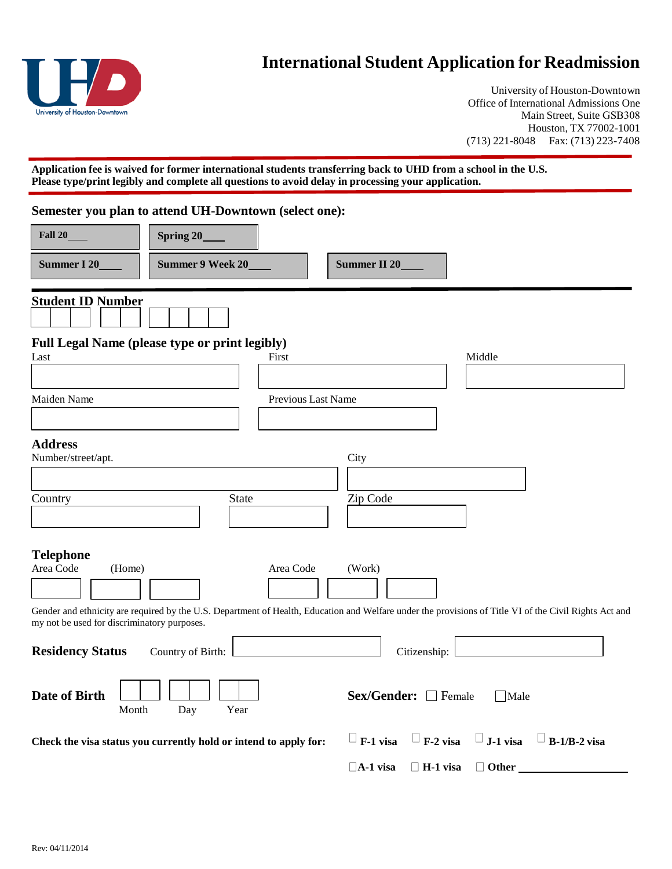

## **International Student Application for Readmission**

University of Houston-Downtown Office of International Admissions One Main Street, Suite GSB308 Houston, TX 77002-1001 (713) 221-8048 Fax: (713) 223-7408

**Application fee is waived for former international students transferring back to UHD from a school in the U.S. Please type/print legibly and complete all questions to avoid delay in processing your application.**

|                                                                                        | Semester you plan to attend UH-Downtown (select one):                                                                                                  |                           |                                    |                                                     |  |  |
|----------------------------------------------------------------------------------------|--------------------------------------------------------------------------------------------------------------------------------------------------------|---------------------------|------------------------------------|-----------------------------------------------------|--|--|
| <b>Fall 20</b>                                                                         | Spring 20_                                                                                                                                             |                           |                                    |                                                     |  |  |
| Summer 9 Week 20_<br>Summer I 20                                                       |                                                                                                                                                        |                           | Summer II 20_                      |                                                     |  |  |
| <b>Student ID Number</b>                                                               |                                                                                                                                                        |                           |                                    |                                                     |  |  |
| Last                                                                                   | <b>Full Legal Name (please type or print legibly)</b>                                                                                                  | First                     |                                    | Middle                                              |  |  |
| Maiden Name                                                                            |                                                                                                                                                        | <b>Previous Last Name</b> |                                    |                                                     |  |  |
| <b>Address</b><br>Number/street/apt.                                                   |                                                                                                                                                        |                           | City                               |                                                     |  |  |
| Country                                                                                | <b>State</b>                                                                                                                                           |                           | Zip Code                           |                                                     |  |  |
| <b>Telephone</b><br>Area Code<br>(Home)<br>my not be used for discriminatory purposes. | Gender and ethnicity are required by the U.S. Department of Health, Education and Welfare under the provisions of Title VI of the Civil Rights Act and | Area Code                 | (Work)                             |                                                     |  |  |
| <b>Residency Status</b>                                                                | Country of Birth:                                                                                                                                      |                           | Citizenship:                       |                                                     |  |  |
| Date of Birth<br>Month                                                                 | Day<br>Year                                                                                                                                            |                           | Sex/Gender: □ Female               | $\Box$ Male                                         |  |  |
|                                                                                        | Check the visa status you currently hold or intend to apply for:                                                                                       |                           | $\Box$ F-1 visa                    | $\Box$ F-2 visa $\Box$ J-1 visa $\Box$ B-1/B-2 visa |  |  |
|                                                                                        |                                                                                                                                                        |                           | $\Box$ A-1 visa<br>$\Box$ H-1 visa | $\Box$ Other                                        |  |  |